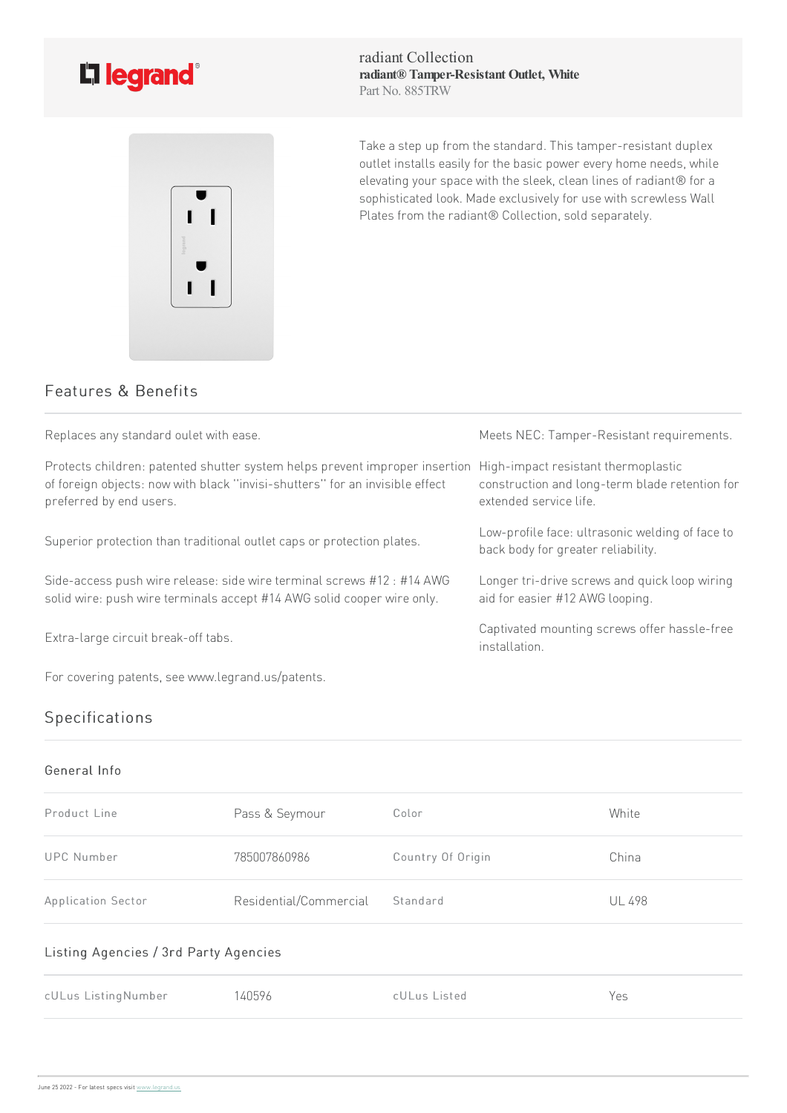



radiant Collection **radiant® Tamper-Resistant Outlet, White** Part No. 885TRW

Take a step up from the standard. This tamper-resistant duplex outlet installs easily for the basic power every home needs, while elevating your space with the sleek, clean lines of radiant® for a sophisticated look. Made exclusively for use with screwless Wall Plates from the radiant® Collection, sold separately.

## Features & Benefits

| Replaces any standard oulet with ease.                                                                                                                                                 | Meets NEC: Tamper-Resistant requirements.                                                                       |
|----------------------------------------------------------------------------------------------------------------------------------------------------------------------------------------|-----------------------------------------------------------------------------------------------------------------|
| Protects children: patented shutter system helps prevent improper insertion<br>of foreign objects: now with black "invisi-shutters" for an invisible effect<br>preferred by end users. | High-impact resistant thermoplastic<br>construction and long-term blade retention for<br>extended service life. |
| Superior protection than traditional outlet caps or protection plates.                                                                                                                 | Low-profile face: ultrasonic welding of face to<br>back body for greater reliability.                           |
| Side-access push wire release: side wire terminal screws #12 : #14 AWG<br>solid wire: push wire terminals accept #14 AWG solid cooper wire only.                                       | Longer tri-drive screws and quick loop wiring<br>aid for easier #12 AWG looping.                                |
| Extra-large circuit break-off tabs.                                                                                                                                                    | Captivated mounting screws offer hassle-free<br>installation.                                                   |

For covering patents, see www.legrand.us/patents.

# Specifications

#### General Info

| Product Line                          | Pass & Seymour         | Color             | White         |  |  |
|---------------------------------------|------------------------|-------------------|---------------|--|--|
| <b>UPC Number</b>                     | 785007860986           | Country Of Origin | China         |  |  |
| Application Sector                    | Residential/Commercial | Standard          | <b>UL 498</b> |  |  |
| Listing Agencies / 3rd Party Agencies |                        |                   |               |  |  |
| cULus ListingNumber                   | 140596                 | cULus Listed      | Yes           |  |  |